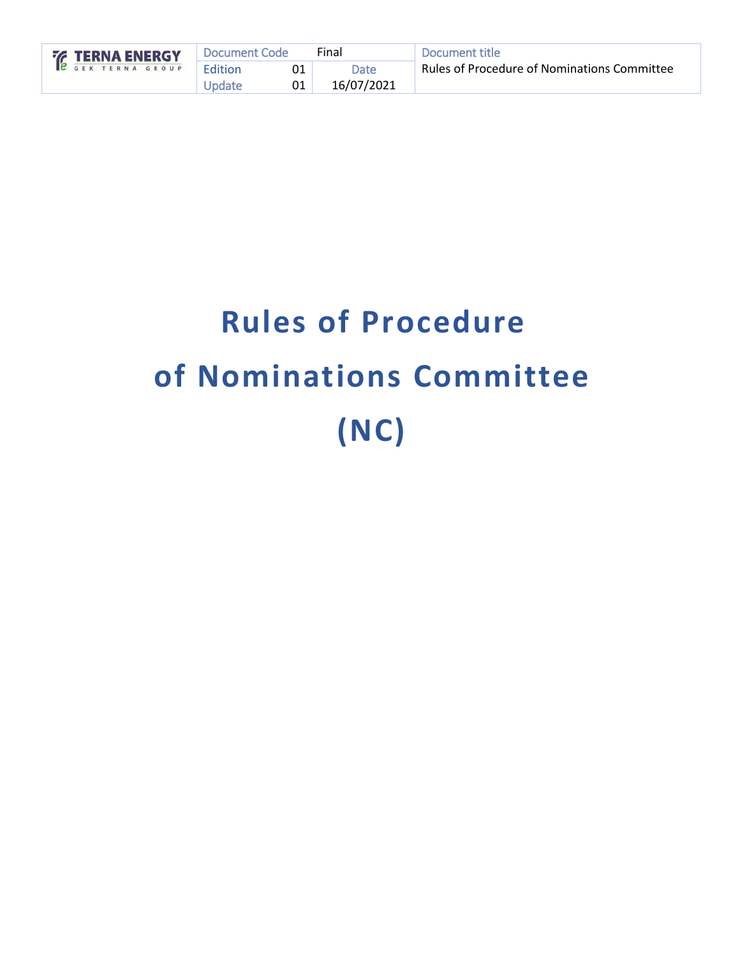| <b>ERNA ENERGY</b> | ' Document Code |    | Final      | Document title                              |
|--------------------|-----------------|----|------------|---------------------------------------------|
|                    | <b>Edition</b>  |    | Date       | Rules of Procedure of Nominations Committee |
|                    | Update          | 01 | 16/07/2021 |                                             |

# **Rules of Procedure of Nominations Committee (NC)**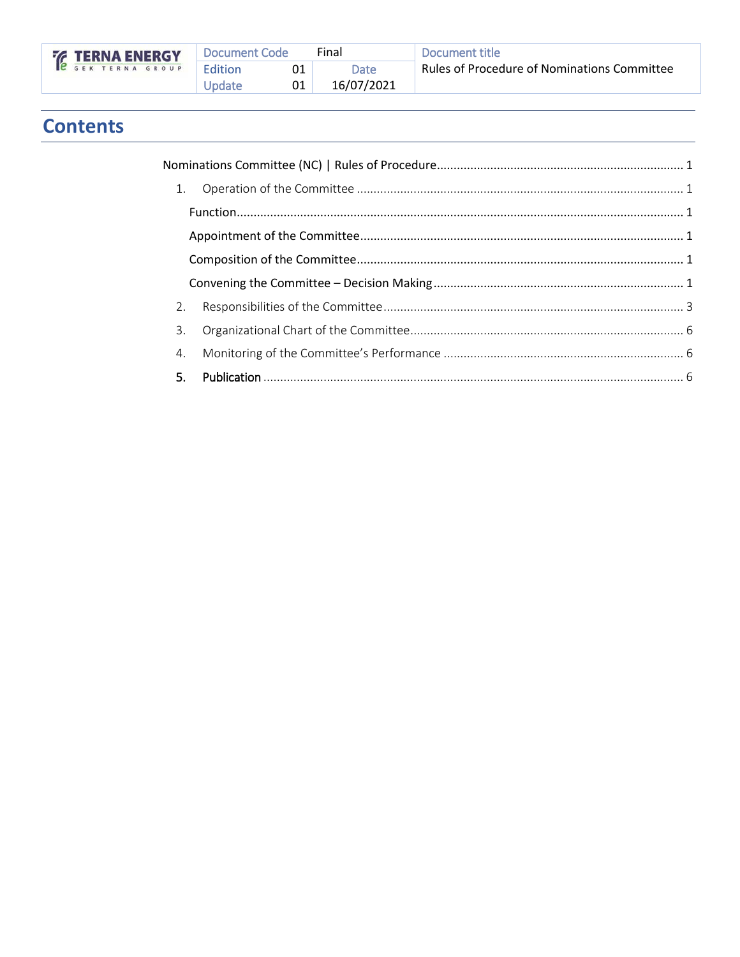|  | <b>EXAMPLE TERNA SHOUP</b> |  |  |  |  |  |
|--|----------------------------|--|--|--|--|--|
|  |                            |  |  |  |  |  |

# **Contents**

| 2.             |  |
|----------------|--|
| $\mathbf{3}$ . |  |
| 4.             |  |
|                |  |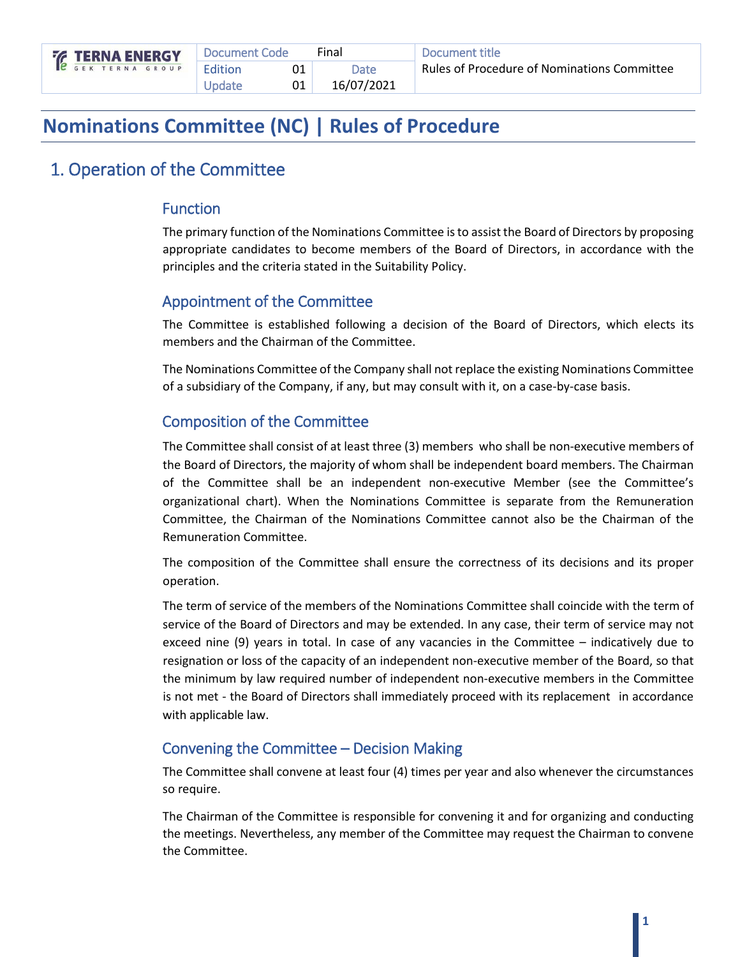# <span id="page-2-0"></span>**Nominations Committee (NC) | Rules of Procedure**

## <span id="page-2-1"></span>1. Operation of the Committee

#### <span id="page-2-2"></span>Function

The primary function of the Nominations Committee isto assist the Board of Directors by proposing appropriate candidates to become members of the Board of Directors, in accordance with the principles and the criteria stated in the Suitability Policy.

#### <span id="page-2-3"></span>Appointment of the Committee

The Committee is established following a decision of the Board of Directors, which elects its members and the Chairman of the Committee.

The Nominations Committee of the Company shall not replace the existing Nominations Committee of a subsidiary of the Company, if any, but may consult with it, on a case-by-case basis.

#### <span id="page-2-4"></span>Composition of the Committee

The Committee shall consist of at least three (3) members who shall be non-executive members of the Board of Directors, the majority of whom shall be independent board members. The Chairman of the Committee shall be an independent non-executive Member (see the Committee's organizational chart). When the Nominations Committee is separate from the Remuneration Committee, the Chairman of the Nominations Committee cannot also be the Chairman of the Remuneration Committee.

The composition of the Committee shall ensure the correctness of its decisions and its proper operation.

The term of service of the members of the Nominations Committee shall coincide with the term of service of the Board of Directors and may be extended. In any case, their term of service may not exceed nine (9) years in total. In case of any vacancies in the Committee – indicatively due to resignation or loss of the capacity of an independent non-executive member of the Board, so that the minimum by law required number of independent non-executive members in the Committee is not met - the Board of Directors shall immediately proceed with its replacement in accordance with applicable law.

#### <span id="page-2-5"></span>Convening the Committee – Decision Making

The Committee shall convene at least four (4) times per year and also whenever the circumstances so require.

The Chairman of the Committee is responsible for convening it and for organizing and conducting the meetings. Nevertheless, any member of the Committee may request the Chairman to convene the Committee.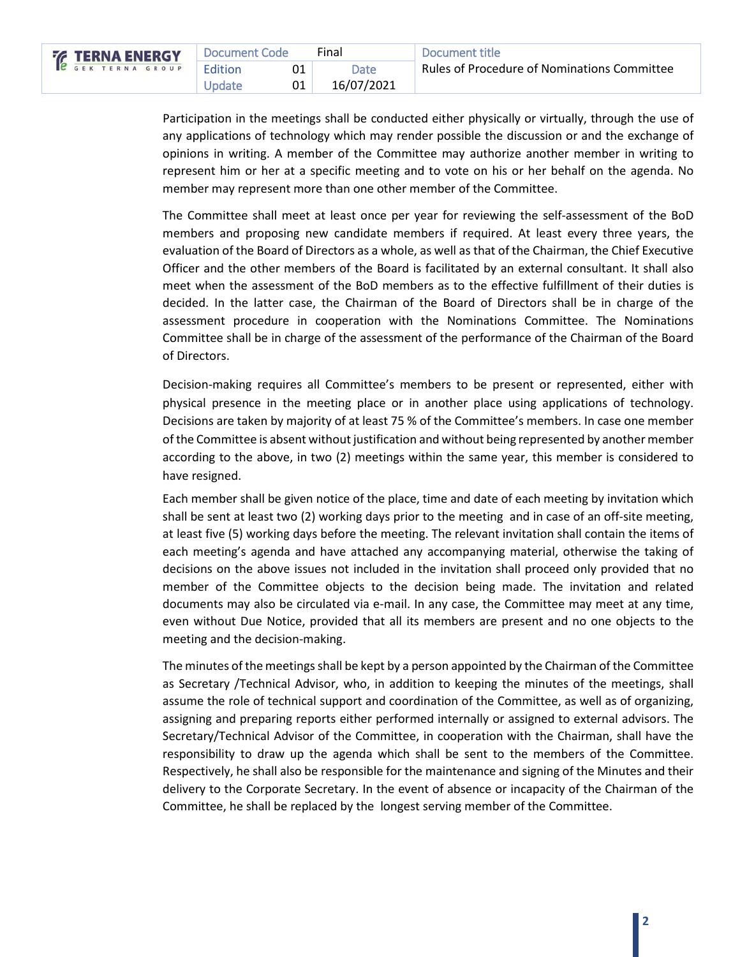| <b>ERNA ENERGY</b> | Document Code | Final       | Document title                                     |
|--------------------|---------------|-------------|----------------------------------------------------|
|                    | Edition       | <b>Date</b> | <b>Rules of Procedure of Nominations Committee</b> |
|                    | Update        | 16/07/2021  |                                                    |

Participation in the meetings shall be conducted either physically or virtually, through the use of any applications of technology which may render possible the discussion or and the exchange of opinions in writing. A member of the Committee may authorize another member in writing to represent him or her at a specific meeting and to vote on his or her behalf on the agenda. No member may represent more than one other member of the Committee.

The Committee shall meet at least once per year for reviewing the self-assessment of the BoD members and proposing new candidate members if required. At least every three years, the evaluation of the Board of Directors as a whole, as well as that of the Chairman, the Chief Executive Officer and the other members of the Board is facilitated by an external consultant. It shall also meet when the assessment of the BoD members as to the effective fulfillment of their duties is decided. In the latter case, the Chairman of the Board of Directors shall be in charge of the assessment procedure in cooperation with the Nominations Committee. The Nominations Committee shall be in charge of the assessment of the performance of the Chairman of the Board of Directors.

Decision-making requires all Committee's members to be present or represented, either with physical presence in the meeting place or in another place using applications of technology. Decisions are taken by majority of at least 75 % of the Committee's members. In case one member of the Committee is absent without justification and without being represented by another member according to the above, in two (2) meetings within the same year, this member is considered to have resigned.

Each member shall be given notice of the place, time and date of each meeting by invitation which shall be sent at least two (2) working days prior to the meeting and in case of an off-site meeting, at least five (5) working days before the meeting. The relevant invitation shall contain the items of each meeting's agenda and have attached any accompanying material, otherwise the taking of decisions on the above issues not included in the invitation shall proceed only provided that no member of the Committee objects to the decision being made. The invitation and related documents may also be circulated via e-mail. In any case, the Committee may meet at any time, even without Due Notice, provided that all its members are present and no one objects to the meeting and the decision-making.

The minutes of the meetings shall be kept by a person appointed by the Chairman of the Committee as Secretary /Technical Advisor, who, in addition to keeping the minutes of the meetings, shall assume the role of technical support and coordination of the Committee, as well as of organizing, assigning and preparing reports either performed internally or assigned to external advisors. The Secretary/Technical Advisor of the Committee, in cooperation with the Chairman, shall have the responsibility to draw up the agenda which shall be sent to the members of the Committee. Respectively, he shall also be responsible for the maintenance and signing of the Minutes and their delivery to the Corporate Secretary. In the event of absence or incapacity of the Chairman of the Committee, he shall be replaced by the longest serving member of the Committee.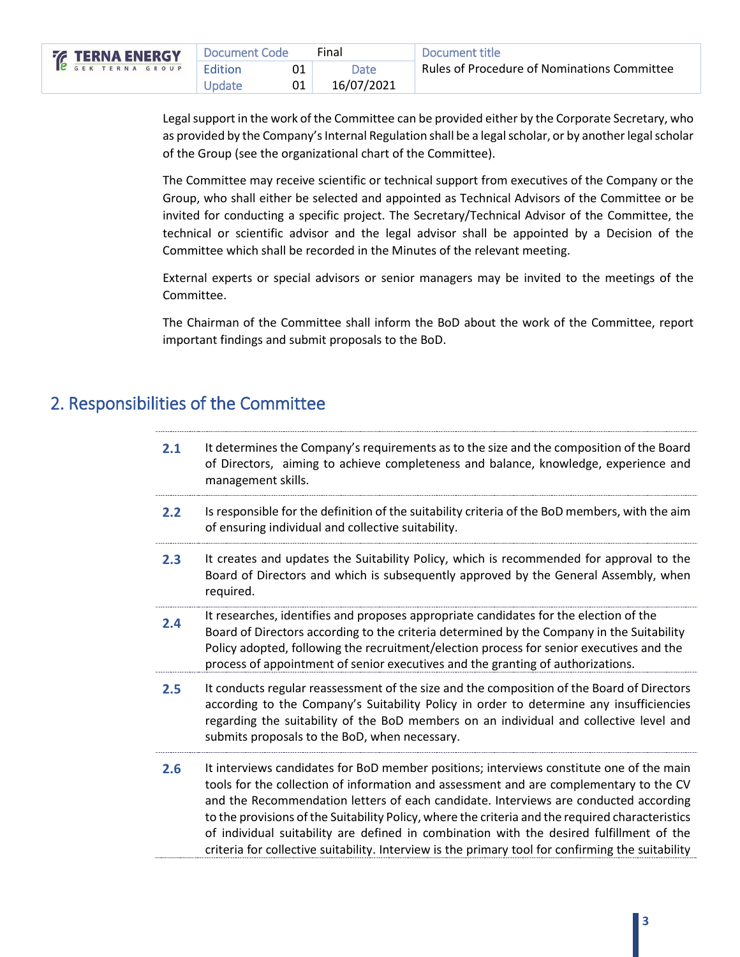| <b>76 TERNA ENERGY</b>   | Document Code | Final      | Document title                              |
|--------------------------|---------------|------------|---------------------------------------------|
| <b>C</b> GEK TERNA GROUP | Edition       | Date       | Rules of Procedure of Nominations Committee |
|                          | Update        | 16/07/2021 |                                             |

Legal support in the work of the Committee can be provided either by the Corporate Secretary, who as provided by the Company's Internal Regulation shall be a legal scholar, or by another legal scholar of the Group (see the organizational chart of the Committee).

The Committee may receive scientific or technical support from executives of the Company or the Group, who shall either be selected and appointed as Technical Advisors of the Committee or be invited for conducting a specific project. The Secretary/Technical Advisor of the Committee, the technical or scientific advisor and the legal advisor shall be appointed by a Decision of the Committee which shall be recorded in the Minutes of the relevant meeting.

External experts or special advisors or senior managers may be invited to the meetings of the Committee.

The Chairman of the Committee shall inform the BoD about the work of the Committee, report important findings and submit proposals to the BoD.

### <span id="page-4-0"></span>2. Responsibilities of the Committee

| 2.1 |                    | It determines the Company's requirements as to the size and the composition of the Board |  |  |
|-----|--------------------|------------------------------------------------------------------------------------------|--|--|
|     |                    | of Directors, aiming to achieve completeness and balance, knowledge, experience and      |  |  |
|     | management skills. |                                                                                          |  |  |

- **2.2** Is responsible for the definition of the suitability criteria of the BoD members, with the aim of ensuring individual and collective suitability.
- **2.3** It creates and updates the Suitability Policy, which is recommended for approval to the Board of Directors and which is subsequently approved by the General Assembly, when required.
- **2.4** It researches, identifies and proposes appropriate candidates for the election of the Board of Directors according to the criteria determined by the Company in the Suitability Policy adopted, following the recruitment/election process for senior executives and the process of appointment of senior executives and the granting of authorizations.
- **2.5** It conducts regular reassessment of the size and the composition of the Board of Directors according to the Company's Suitability Policy in order to determine any insufficiencies regarding the suitability of the BoD members on an individual and collective level and submits proposals to the BoD, when necessary.
- **2.6** It interviews candidates for BoD member positions; interviews constitute one of the main tools for the collection of information and assessment and are complementary to the CV and the Recommendation letters of each candidate. Interviews are conducted according to the provisions of the Suitability Policy, where the criteria and the required characteristics of individual suitability are defined in combination with the desired fulfillment of the criteria for collective suitability. Interview is the primary tool for confirming the suitability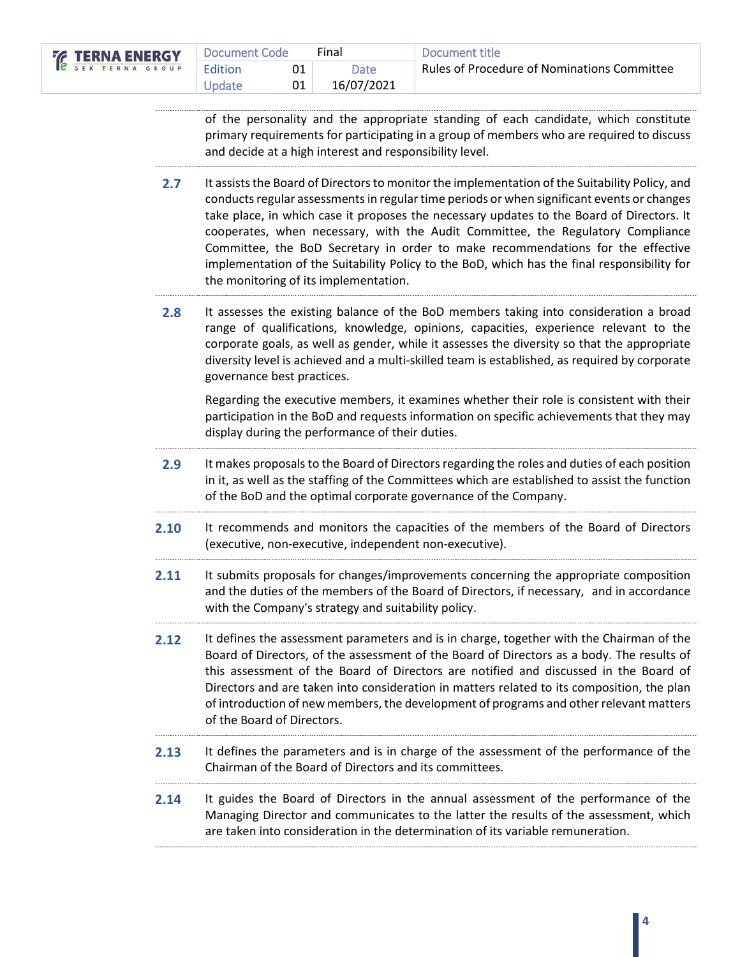| <b>EXAMPLE TERNA SHOUP</b> |  |  |  |  |  |  |  | <b>Do</b> |
|----------------------------|--|--|--|--|--|--|--|-----------|
|                            |  |  |  |  |  |  |  | - Edi     |
|                            |  |  |  |  |  |  |  |           |

| 7Y      | Document Code  |    | Final      | Document title                                     |
|---------|----------------|----|------------|----------------------------------------------------|
| $U$ $P$ | <b>Edition</b> |    | Date       | <b>Rules of Procedure of Nominations Committee</b> |
|         | Update         | 01 | 16/07/2021 |                                                    |

of the personality and the appropriate standing of each candidate, which constitute primary requirements for participating in a group of members who are required to discuss and decide at a high interest and responsibility level.

- **2.7** It assists the Board of Directors to monitor the implementation of the Suitability Policy, and conducts regular assessments in regular time periods or when significant events or changes take place, in which case it proposes the necessary updates to the Board of Directors. It cooperates, when necessary, with the Audit Committee, the Regulatory Compliance Committee, the BoD Secretary in order to make recommendations for the effective implementation of the Suitability Policy to the BoD, which has the final responsibility for the monitoring of its implementation.
- **2.8** It assesses the existing balance of the BoD members taking into consideration a broad range of qualifications, knowledge, opinions, capacities, experience relevant to the corporate goals, as well as gender, while it assesses the diversity so that the appropriate diversity level is achieved and a multi-skilled team is established, as required by corporate governance best practices.

Regarding the executive members, it examines whether their role is consistent with their participation in the BoD and requests information on specific achievements that they may display during the performance of their duties.

- **2.9** It makes proposals to the Board of Directors regarding the roles and duties of each position in it, as well as the staffing of the Committees which are established to assist the function of the BoD and the optimal corporate governance of the Company.
- **2.10** It recommends and monitors the capacities of the members of the Board of Directors (executive, non-executive, independent non-executive).
- **2.11** It submits proposals for changes/improvements concerning the appropriate composition and the duties of the members of the Board of Directors, if necessary, and in accordance with the Company's strategy and suitability policy.
- **2.12** It defines the assessment parameters and is in charge, together with the Chairman of the Board of Directors, of the assessment of the Board of Directors as a body. The results of this assessment of the Board of Directors are notified and discussed in the Board of Directors and are taken into consideration in matters related to its composition, the plan of introduction of new members, the development of programs and other relevant matters of the Board of Directors.
- **2.13** It defines the parameters and is in charge of the assessment of the performance of the Chairman of the Board of Directors and its committees.
- **2.14** It guides the Board of Directors in the annual assessment of the performance of the Managing Director and communicates to the latter the results of the assessment, which are taken into consideration in the determination of its variable remuneration.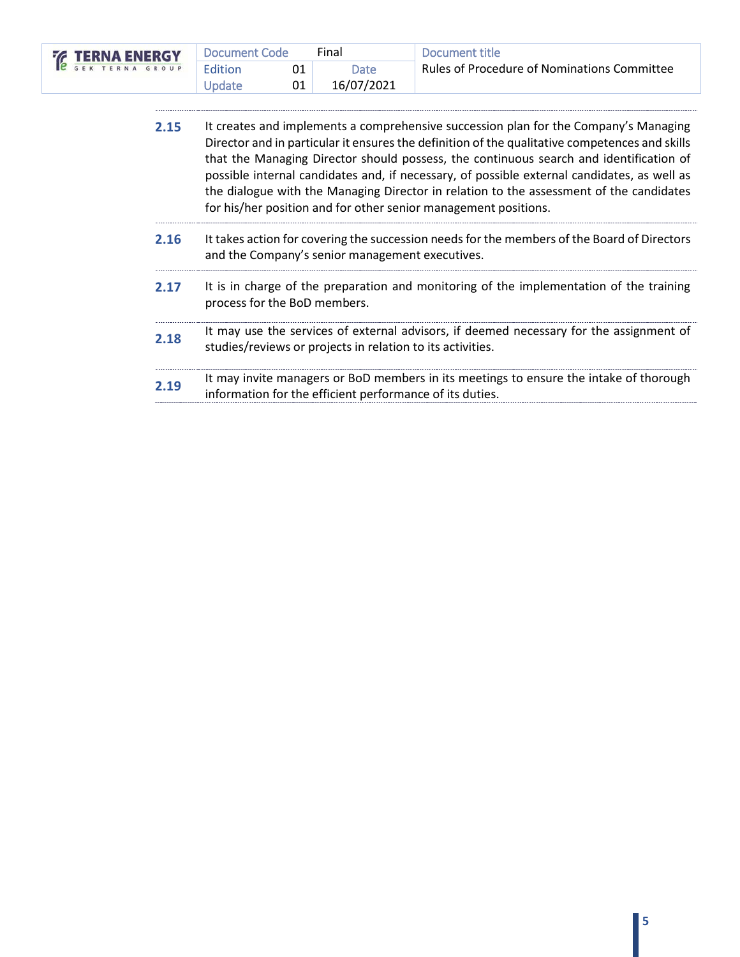| <b>EXAMPLE TERNA SHOUP</b> | Document Code | Final      | Document title                              |
|----------------------------|---------------|------------|---------------------------------------------|
|                            | Edition       | Date       | Rules of Procedure of Nominations Committee |
|                            | Update        | 16/07/2021 |                                             |

|--|

- **2.16** It takes action for covering the succession needs for the members of the Board of Directors and the Company's senior management executives.
- 2.17 It is in charge of the preparation and monitoring of the implementation of the training process for the BoD members.
- **2.18** It may use the services of external advisors, if deemed necessary for the assignment of studies/reviews or projects in relation to its activities.
- **2.19** It may invite managers or BoD members in its meetings to ensure the intake of thorough information for the efficient performance of its duties.